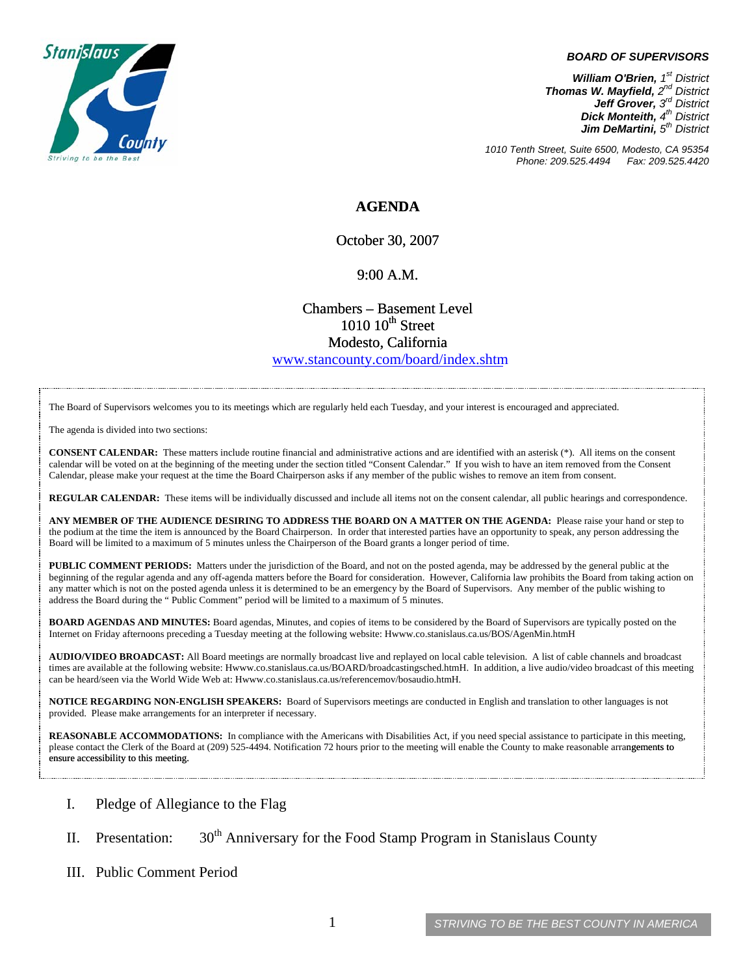

**BOARD OF SUPERVISORS**<br> **William O'Brien,**  $f^{st}$  District<br> **mas W. Mayfield,**  $2^{nd}$  District<br> **Jeck Monteith,**  $4^{nd}$  District<br> **Dick Monteith,**  $4^{nd}$  District<br> **Jint DeMartini,**  $5^{nd}$  District<br> **Suite 6500, Modesto,** *William O'Brien, 1st District Thomas W. Mayfield, 2nd District Jeff Grover, 3rd District Dick Monteith, 4th District Jim DeMartini, 5th District*

*1010 Tenth Street, Suite 6500, Modesto, CA 95354 Phone: 209.525.4494 Fax: 209.525.4420* 

## **AGENDA**

October 30, 2007

## 9:00 A.M.

Chambers – Basement Level  $1010~10$ <sup>th</sup> Street Modesto, California

www.stancounty.com/board/index.shtm

The Board of Supervisors welcomes you to its meetings which are regularly held each Tuesday, and your interest is encouraged and appreciated.

The agenda is divided into two sections:

**CONSENT CALENDAR:** These matters include routine financial and administrative actions and are identified with an asterisk (\*). All items on the consent calendar will be voted on at the beginning of the meeting under the section titled "Consent Calendar." If you wish to have an item removed from the Consent Calendar, please make your request at the time the Board Chairperson asks if any member of the public wishes to remove an item from consent.

**REGULAR CALENDAR:** These items will be individually discussed and include all items not on the consent calendar, all public hearings and correspondence.

**ANY MEMBER OF THE AUDIENCE DESIRING TO ADDRESS THE BOARD ON A MATTER ON THE AGENDA:** Please raise your hand or step to the podium at the time the item is announced by the Board Chairperson. In order that interested parties have an opportunity to speak, any person addressing the Board will be limited to a maximum of 5 minutes unless the Chairperson of the Board grants a longer period of time.

**PUBLIC COMMENT PERIODS:** Matters under the jurisdiction of the Board, and not on the posted agenda, may be addressed by the general public at the beginning of the regular agenda and any off-agenda matters before the Board for consideration. However, California law prohibits the Board from taking action on any matter which is not on the posted agenda unless it is determined to be an emergency by the Board of Supervisors. Any member of the public wishing to address the Board during the " Public Comment" period will be limited to a maximum of 5 minutes.

**BOARD AGENDAS AND MINUTES:** Board agendas, Minutes, and copies of items to be considered by the Board of Supervisors are typically posted on the Internet on Friday afternoons preceding a Tuesday meeting at the following website: Hwww.co.stanislaus.ca.us/BOS/AgenMin.htmH

times are available at the following website: Hwww.co.stanislaus.ca.us/BOARD/broadcastingsched.htmH. In addition, a live audio/video broadcast of this meeting . can be heard/seen via the World Wide Web at: Hwww.co.stanislaus.ca.us/referencemov/bosaudio.htmH **AUDIO/VIDEO BROADCAST:** All Board meetings are normally broadcast live and replayed on local cable television. A list of cable channels and broadcast

**NOTICE REGARDING NON-ENGLISH SPEAKERS:** Board of Supervisors meetings are conducted in English and translation to other languages is not provided. Please make arrangements for an interpreter if necessary.

REASONABLE ACCOMMODATIONS: In compliance with the Americans with Disabilities Act, if you need special assistance to participate in this meeting, please contact the Clerk of the Board at (209) 525-4494. Notification 72 hours prior to the meeting will enable the County to make reasonable arrangements to ensure accessibility to this meeting.

- I. Pledge of Allegiance to the Flag
- II. Presentation:  $30<sup>th</sup>$  Anniversary for the Food Stamp Program in Stanislaus County
- III. Public Comment Period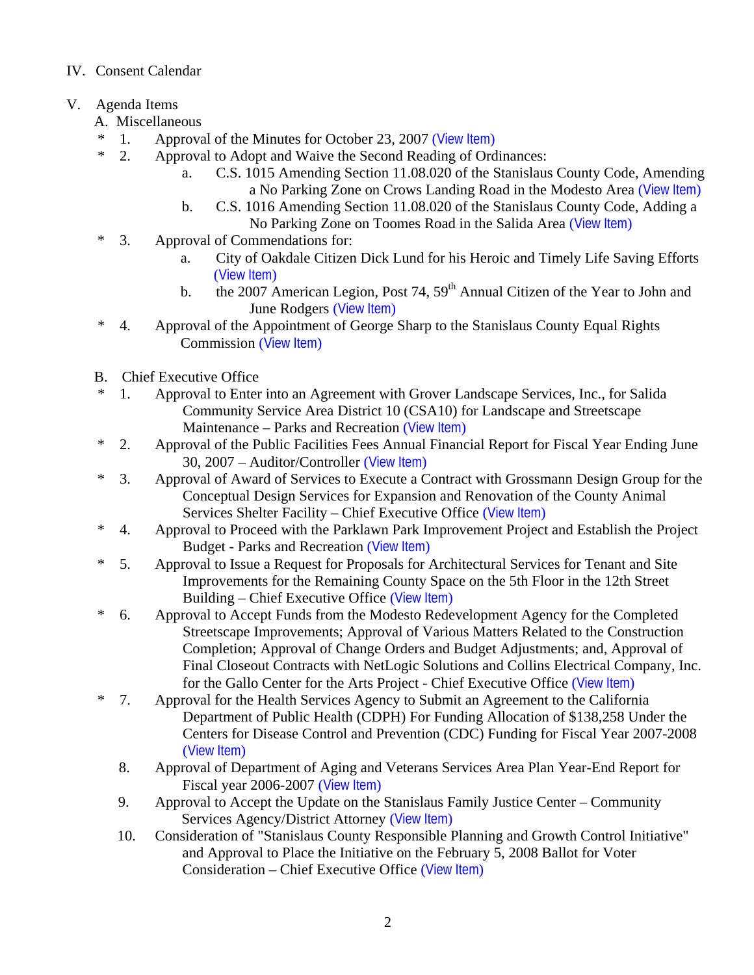## IV. Consent Calendar

- V. Agenda Items
	- A. Miscellaneous
	- \* 1. Approval of the Minutes for October 23, 2007 ([View Item](http://www.co.stanislaus.ca.us/bos/minutes/2007/min10-23-07.pdf))
	- \* 2. Approval to Adopt and Waive the Second Reading of Ordinances:
		- a. C.S. 1015 Amending Section 11.08.020 of the Stanislaus County Code, Amending a No Parking Zone on Crows Landing Road in the Modesto Area ([View Item](http://www.co.stanislaus.ca.us/bos/agenda/2007/20071030/A02a.pdf))
		- b. C.S. 1016 Amending Section 11.08.020 of the Stanislaus County Code, Adding a No Parking Zone on Toomes Road in the Salida Area ([View Item](http://www.co.stanislaus.ca.us/bos/agenda/2007/20071030/A02b.pdf))
	- \* 3. Approval of Commendations for:
		- a. City of Oakdale Citizen Dick Lund for his Heroic and Timely Life Saving Efforts ([View Item](http://www.co.stanislaus.ca.us/bos/agenda/2007/20071030/A03a.pdf))
		- b. the 2007 American Legion, Post 74,  $59<sup>th</sup>$  Annual Citizen of the Year to John and June Rodgers ([View Item](http://www.co.stanislaus.ca.us/bos/agenda/2007/20071030/A03b.pdf))
	- \* 4. Approval of the Appointment of George Sharp to the Stanislaus County Equal Rights Commission ([View Item](http://www.co.stanislaus.ca.us/bos/agenda/2007/20071030/A04.pdf))
	- B. Chief Executive Office
	- \* 1. Approval to Enter into an Agreement with Grover Landscape Services, Inc., for Salida Community Service Area District 10 (CSA10) for Landscape and Streetscape Maintenance – Parks and Recreation ([View Item](http://www.co.stanislaus.ca.us/bos/agenda/2007/20071030/B01.pdf))
	- \* 2. Approval of the Public Facilities Fees Annual Financial Report for Fiscal Year Ending June 30, 2007 – Auditor/Controller ([View Item](http://www.co.stanislaus.ca.us/bos/agenda/2007/20071030/B02.pdf))
	- \* 3. Approval of Award of Services to Execute a Contract with Grossmann Design Group for the Conceptual Design Services for Expansion and Renovation of the County Animal Services Shelter Facility – Chief Executive Office ([View Item](http://www.co.stanislaus.ca.us/bos/agenda/2007/20071030/B03.pdf))
	- \* 4. Approval to Proceed with the Parklawn Park Improvement Project and Establish the Project Budget - Parks and Recreation ([View Item](http://www.co.stanislaus.ca.us/bos/agenda/2007/20071030/B04.pdf))
	- \* 5. Approval to Issue a Request for Proposals for Architectural Services for Tenant and Site Improvements for the Remaining County Space on the 5th Floor in the 12th Street Building – Chief Executive Office ([View Item](http://www.co.stanislaus.ca.us/bos/agenda/2007/20071030/B05.pdf))
	- \* 6. Approval to Accept Funds from the Modesto Redevelopment Agency for the Completed Streetscape Improvements; Approval of Various Matters Related to the Construction Completion; Approval of Change Orders and Budget Adjustments; and, Approval of Final Closeout Contracts with NetLogic Solutions and Collins Electrical Company, Inc. for the Gallo Center for the Arts Project - Chief Executive Office ([View Item](http://www.co.stanislaus.ca.us/bos/agenda/2007/20071030/B06.pdf))
	- \* 7. Approval for the Health Services Agency to Submit an Agreement to the California Department of Public Health (CDPH) For Funding Allocation of \$138,258 Under the Centers for Disease Control and Prevention (CDC) Funding for Fiscal Year 2007-2008 ([View Item](http://www.co.stanislaus.ca.us/bos/agenda/2007/20071030/B07.pdf))
		- 8. Approval of Department of Aging and Veterans Services Area Plan Year-End Report for Fiscal year 2006-2007 ([View Item](http://www.co.stanislaus.ca.us/bos/agenda/2007/20071030/B08.pdf))
		- 9. Approval to Accept the Update on the Stanislaus Family Justice Center Community Services Agency/District Attorney ([View Item](http://www.co.stanislaus.ca.us/bos/agenda/2007/20071030/B09.pdf))
		- 10. Consideration of "Stanislaus County Responsible Planning and Growth Control Initiative" and Approval to Place the Initiative on the February 5, 2008 Ballot for Voter Consideration – Chief Executive Office ([View Item](http://www.co.stanislaus.ca.us/bos/agenda/2007/20071030/B10.pdf))